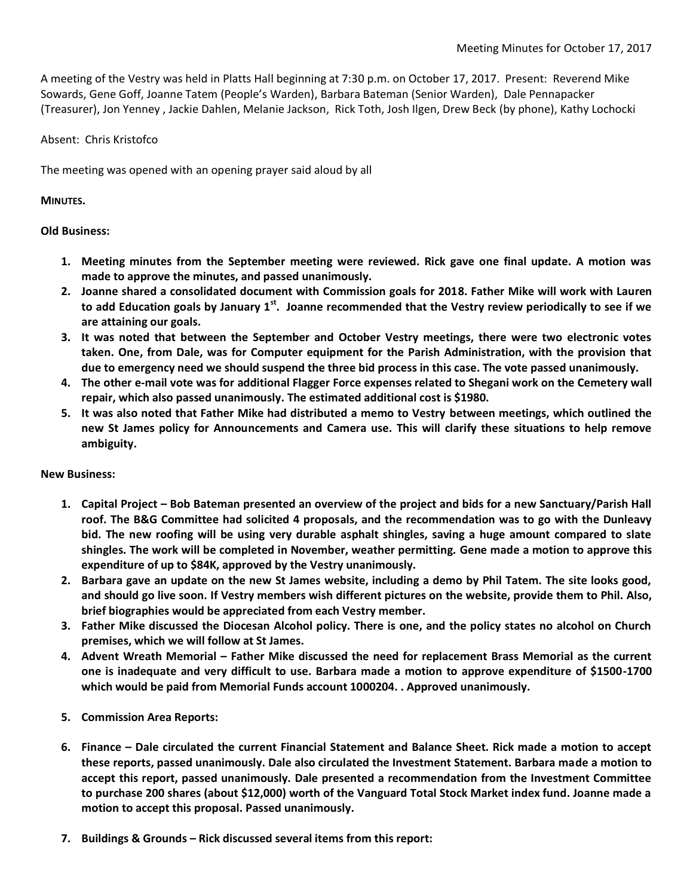A meeting of the Vestry was held in Platts Hall beginning at 7:30 p.m. on October 17, 2017. Present: Reverend Mike Sowards, Gene Goff, Joanne Tatem (People's Warden), Barbara Bateman (Senior Warden), Dale Pennapacker (Treasurer), Jon Yenney , Jackie Dahlen, Melanie Jackson, Rick Toth, Josh Ilgen, Drew Beck (by phone), Kathy Lochocki

## Absent: Chris Kristofco

The meeting was opened with an opening prayer said aloud by all

## **MINUTES.**

## **Old Business:**

- **1. Meeting minutes from the September meeting were reviewed. Rick gave one final update. A motion was made to approve the minutes, and passed unanimously.**
- **2. Joanne shared a consolidated document with Commission goals for 2018. Father Mike will work with Lauren to add Education goals by January 1st. Joanne recommended that the Vestry review periodically to see if we are attaining our goals.**
- **3. It was noted that between the September and October Vestry meetings, there were two electronic votes taken. One, from Dale, was for Computer equipment for the Parish Administration, with the provision that due to emergency need we should suspend the three bid process in this case. The vote passed unanimously.**
- **4. The other e-mail vote was for additional Flagger Force expenses related to Shegani work on the Cemetery wall repair, which also passed unanimously. The estimated additional cost is \$1980.**
- **5. It was also noted that Father Mike had distributed a memo to Vestry between meetings, which outlined the new St James policy for Announcements and Camera use. This will clarify these situations to help remove ambiguity.**

## **New Business:**

- **1. Capital Project – Bob Bateman presented an overview of the project and bids for a new Sanctuary/Parish Hall roof. The B&G Committee had solicited 4 proposals, and the recommendation was to go with the Dunleavy bid. The new roofing will be using very durable asphalt shingles, saving a huge amount compared to slate shingles. The work will be completed in November, weather permitting. Gene made a motion to approve this expenditure of up to \$84K, approved by the Vestry unanimously.**
- **2. Barbara gave an update on the new St James website, including a demo by Phil Tatem. The site looks good, and should go live soon. If Vestry members wish different pictures on the website, provide them to Phil. Also, brief biographies would be appreciated from each Vestry member.**
- **3. Father Mike discussed the Diocesan Alcohol policy. There is one, and the policy states no alcohol on Church premises, which we will follow at St James.**
- **4. Advent Wreath Memorial – Father Mike discussed the need for replacement Brass Memorial as the current one is inadequate and very difficult to use. Barbara made a motion to approve expenditure of \$1500-1700 which would be paid from Memorial Funds account 1000204. . Approved unanimously.**
- **5. Commission Area Reports:**
- **6. Finance – Dale circulated the current Financial Statement and Balance Sheet. Rick made a motion to accept these reports, passed unanimously. Dale also circulated the Investment Statement. Barbara made a motion to accept this report, passed unanimously. Dale presented a recommendation from the Investment Committee to purchase 200 shares (about \$12,000) worth of the Vanguard Total Stock Market index fund. Joanne made a motion to accept this proposal. Passed unanimously.**
- **7. Buildings & Grounds – Rick discussed several items from this report:**